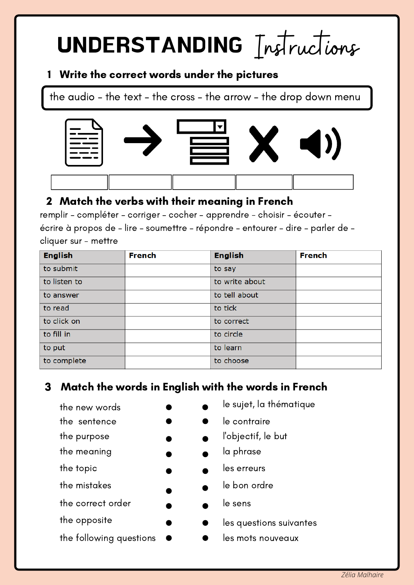# UNDERSTANDING Instructions

### 1 Write the correct words under the pictures

the audio – the text – the cross – the arrow – the drop down menu



## Match the verbs with their meaning in French 2

remplir – compléter – corriger – cocher – apprendre - choisir – écouter – écrire à propos de – lire – soumettre – répondre – entourer – dire – parler de – cliquer sur - mettre

| <b>English</b> | <b>French</b> | <b>English</b> | <b>French</b> |
|----------------|---------------|----------------|---------------|
| to submit      |               | to say         |               |
| to listen to   |               | to write about |               |
| to answer      |               | to tell about  |               |
| to read        |               | to tick        |               |
| to click on    |               | to correct     |               |
| to fill in     |               | to circle      |               |
| to put         |               | to learn       |               |
| to complete    |               | to choose      |               |

# Match the words in English with the words in French 3

| le sujet, la thématique |
|-------------------------|
| le contraire            |
| l'objectif, le but      |
| la phrase               |
| les erreurs             |
| le bon ordre            |
| le sens                 |
| les questions suivantes |
| les mots nouveaux       |
|                         |